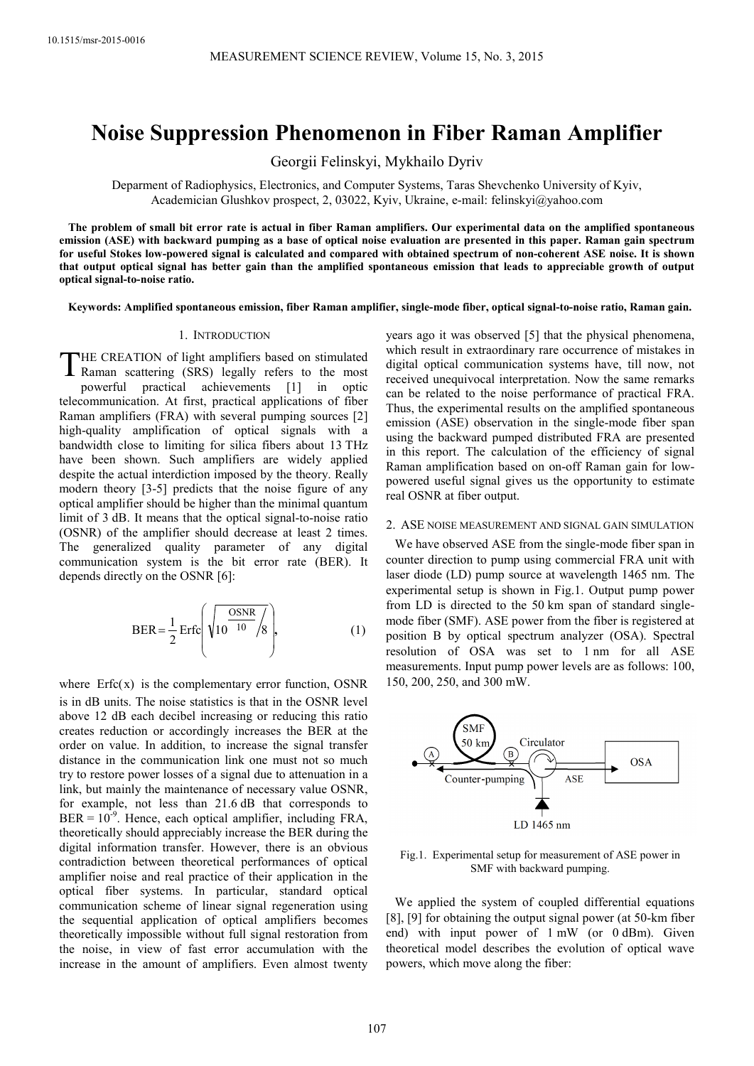# **Noise Suppression Phenomenon in Fiber Raman Amplifier**

Georgii Felinskyi, Mykhailo Dyriv

Deparment of Radiophysics, Electronics, and Computer Systems, Taras Shevchenko University of Kyiv, Academician Glushkov prospect, 2, 03022, Kyiv, Ukraine, e-mail: felinskyi@yahoo.com

**The problem of small bit error rate is actual in fiber Raman amplifiers. Our experimental data on the amplified spontaneous emission (ASE) with backward pumping as a base of optical noise evaluation are presented in this paper. Raman gain spectrum for useful Stokes low-powered signal is calculated and compared with obtained spectrum of non-coherent ASE noise. It is shown that output optical signal has better gain than the amplified spontaneous emission that leads to appreciable growth of output optical signal-to-noise ratio.** 

**Keywords: Amplified spontaneous emission, fiber Raman amplifier, single-mode fiber, optical signal-to-noise ratio, Raman gain.**

#### 1. INTRODUCTION

HE CREATION of light amplifiers based on stimulated THE CREATION of light amplifiers based on stimulated<br>Raman scattering (SRS) legally refers to the most powerful practical achievements [1] in optic telecommunication. At first, practical applications of fiber Raman amplifiers (FRA) with several pumping sources [2] high-quality amplification of optical signals with a bandwidth close to limiting for silica fibers about 13 THz have been shown. Such amplifiers are widely applied despite the actual interdiction imposed by the theory. Really modern theory [3-5] predicts that the noise figure of any optical amplifier should be higher than the minimal quantum limit of 3 dB. It means that the optical signal-to-noise ratio (OSNR) of the amplifier should decrease at least 2 times. The generalized quality parameter of any digital communication system is the bit error rate (BER). It depends directly on the OSNR [6]:

$$
BER = \frac{1}{2} Erfc\left(\sqrt{10^{\frac{OSNR}{10}}/8}\right),\tag{1}
$$

where  $Erfc(x)$  is the complementary error function, OSNR is in dB units. The noise statistics is that in the OSNR level above 12 dB each decibel increasing or reducing this ratio creates reduction or accordingly increases the BER at the order on value. In addition, to increase the signal transfer distance in the communication link one must not so much try to restore power losses of a signal due to attenuation in a link, but mainly the maintenance of necessary value OSNR, for example, not less than 21.6 dB that corresponds to  $BER = 10^{-9}$ . Hence, each optical amplifier, including FRA, theoretically should appreciably increase the BER during the digital information transfer. However, there is an obvious contradiction between theoretical performances of optical amplifier noise and real practice of their application in the optical fiber systems. In particular, standard optical communication scheme of linear signal regeneration using the sequential application of optical amplifiers becomes theoretically impossible without full signal restoration from the noise, in view of fast error accumulation with the increase in the amount of amplifiers. Even almost twenty

years ago it was observed [5] that the physical phenomena, which result in extraordinary rare occurrence of mistakes in digital optical communication systems have, till now, not received unequivocal interpretation. Now the same remarks can be related to the noise performance of practical FRA. Thus, the experimental results on the amplified spontaneous emission (ASE) observation in the single-mode fiber span using the backward pumped distributed FRA are presented in this report. The calculation of the efficiency of signal Raman amplification based on on-off Raman gain for lowpowered useful signal gives us the opportunity to estimate real OSNR at fiber output.

## 2. ASE NOISE MEASUREMENT AND SIGNAL GAIN SIMULATION

We have observed ASE from the single-mode fiber span in counter direction to pump using commercial FRA unit with laser diode (LD) pump source at wavelength 1465 nm. The experimental setup is shown in Fig.1. Output pump power from LD is directed to the 50 km span of standard singlemode fiber (SMF). ASE power from the fiber is registered at position B by optical spectrum analyzer (OSA). Spectral resolution of OSA was set to 1 nm for all ASE measurements. Input pump power levels are as follows: 100, 150, 200, 250, and 300 mW.



Fig.1. Experimental setup for measurement of ASE power in SMF with backward pumping.

We applied the system of coupled differential equations [8], [9] for obtaining the output signal power (at 50-km fiber end) with input power of 1 mW (or 0 dBm). Given theoretical model describes the evolution of optical wave powers, which move along the fiber: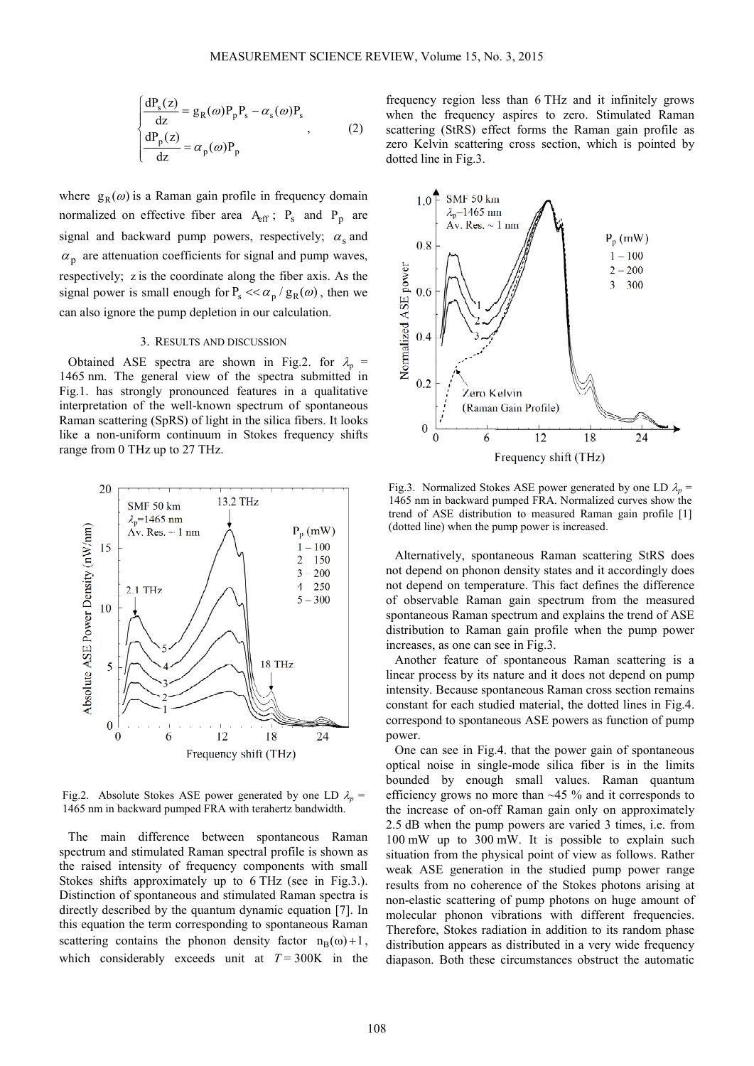$$
\begin{cases}\n\frac{dP_s(z)}{dz} = g_R(\omega)P_pP_s - \alpha_s(\omega)P_s \\
\frac{dP_p(z)}{dz} = \alpha_p(\omega)P_p\n\end{cases}
$$
\n(2)

where  $g_R(\omega)$  is a Raman gain profile in frequency domain normalized on effective fiber area  $A_{eff}$ ;  $P_s$  and  $P_p$  are signal and backward pump powers, respectively;  $\alpha_s$  and  $\alpha_p$  are attenuation coefficients for signal and pump waves, respectively; z is the coordinate along the fiber axis. As the signal power is small enough for  $P_s \ll \alpha_p / g_R(\omega)$ , then we can also ignore the pump depletion in our calculation.

## 3. RESULTS AND DISCUSSION

Obtained ASE spectra are shown in Fig.2. for  $\lambda_p$  = 1465 nm. The general view of the spectra submitted in Fig.1. has strongly pronounced features in a qualitative interpretation of the well-known spectrum of spontaneous Raman scattering (SpRS) of light in the silica fibers. It looks like a non-uniform continuum in Stokes frequency shifts range from 0 THz up to 27 THz.



Fig.2. Absolute Stokes ASE power generated by one LD  $\lambda_p =$ 1465 nm in backward pumped FRA with terahertz bandwidth.

The main difference between spontaneous Raman spectrum and stimulated Raman spectral profile is shown as the raised intensity of frequency components with small Stokes shifts approximately up to 6 THz (see in Fig.3.). Distinction of spontaneous and stimulated Raman spectra is directly described by the quantum dynamic equation [7]. In this equation the term corresponding to spontaneous Raman scattering contains the phonon density factor  $n_R(\omega) + 1$ , which considerably exceeds unit at  $T = 300K$  in the

frequency region less than 6 THz and it infinitely grows when the frequency aspires to zero. Stimulated Raman scattering (StRS) effect forms the Raman gain profile as zero Kelvin scattering cross section, which is pointed by dotted line in Fig.3.



Fig.3. Normalized Stokes ASE power generated by one LD  $\lambda_p$  = 1465 nm in backward pumped FRA. Normalized curves show the trend of ASE distribution to measured Raman gain profile [1] (dotted line) when the pump power is increased.

Alternatively, spontaneous Raman scattering StRS does not depend on phonon density states and it accordingly does not depend on temperature. This fact defines the difference of observable Raman gain spectrum from the measured spontaneous Raman spectrum and explains the trend of ASE distribution to Raman gain profile when the pump power increases, as one can see in Fig.3.

Another feature of spontaneous Raman scattering is a linear process by its nature and it does not depend on pump intensity. Because spontaneous Raman cross section remains constant for each studied material, the dotted lines in Fig.4. correspond to spontaneous ASE powers as function of pump power.

One can see in Fig.4. that the power gain of spontaneous optical noise in single-mode silica fiber is in the limits bounded by enough small values. Raman quantum efficiency grows no more than ~45 % and it corresponds to the increase of on-off Raman gain only on approximately 2.5 dB when the pump powers are varied 3 times, i.e. from 100 mW up to 300 mW. It is possible to explain such situation from the physical point of view as follows. Rather weak ASE generation in the studied pump power range results from no coherence of the Stokes photons arising at non-elastic scattering of pump photons on huge amount of molecular phonon vibrations with different frequencies. Therefore, Stokes radiation in addition to its random phase distribution appears as distributed in a very wide frequency diapason. Both these circumstances obstruct the automatic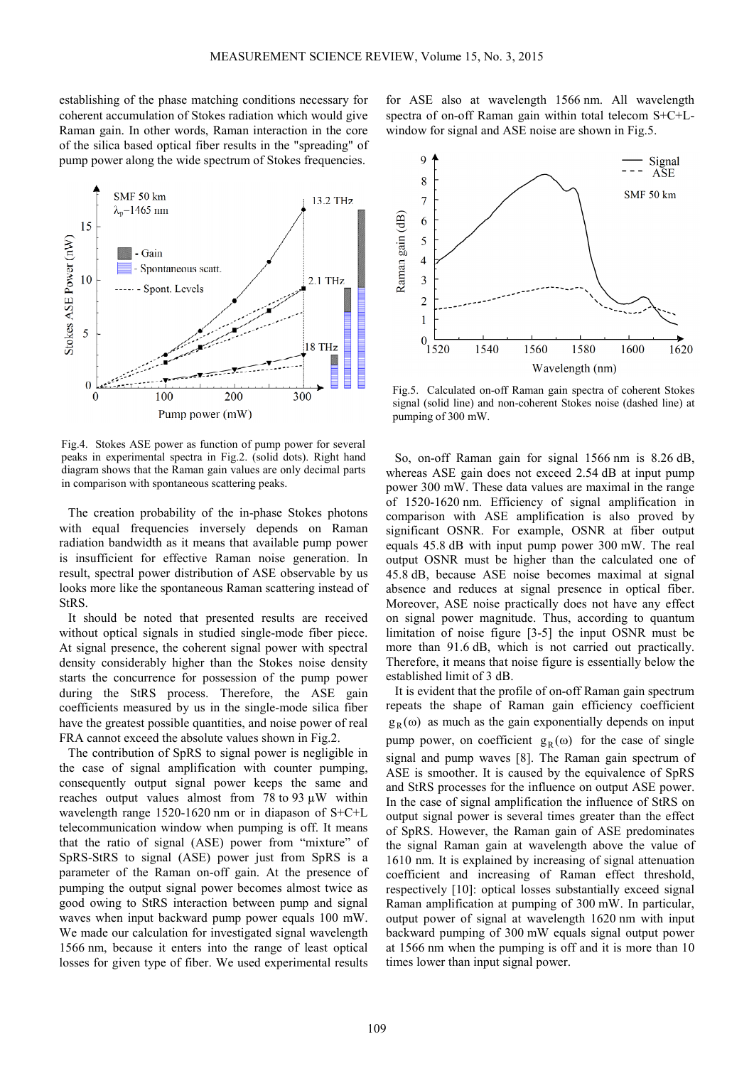establishing of the phase matching conditions necessary for coherent accumulation of Stokes radiation which would give Raman gain. In other words, Raman interaction in the core of the silica based optical fiber results in the "spreading" of pump power along the wide spectrum of Stokes frequencies.



Fig.4. Stokes ASE power as function of pump power for several peaks in experimental spectra in Fig.2. (solid dots). Right hand diagram shows that the Raman gain values are only decimal parts in comparison with spontaneous scattering peaks.

The creation probability of the in-phase Stokes photons with equal frequencies inversely depends on Raman radiation bandwidth as it means that available pump power is insufficient for effective Raman noise generation. In result, spectral power distribution of ASE observable by us looks more like the spontaneous Raman scattering instead of StRS.

It should be noted that presented results are received without optical signals in studied single-mode fiber piece. At signal presence, the coherent signal power with spectral density considerably higher than the Stokes noise density starts the concurrence for possession of the pump power during the StRS process. Therefore, the ASE gain coefficients measured by us in the single-mode silica fiber have the greatest possible quantities, and noise power of real FRA cannot exceed the absolute values shown in Fig.2.

The contribution of SpRS to signal power is negligible in the case of signal amplification with counter pumping, consequently output signal power keeps the same and reaches output values almost from 78 to 93 µW within wavelength range 1520-1620 nm or in diapason of S+C+L telecommunication window when pumping is off. It means that the ratio of signal (ASE) power from "mixture" of SpRS-StRS to signal (ASE) power just from SpRS is a parameter of the Raman on-off gain. At the presence of pumping the output signal power becomes almost twice as good owing to StRS interaction between pump and signal waves when input backward pump power equals 100 mW. We made our calculation for investigated signal wavelength 1566 nm, because it enters into the range of least optical losses for given type of fiber. We used experimental results



for ASE also at wavelength 1566 nm. All wavelength spectra of on-off Raman gain within total telecom S+C+L-

Fig.5. Calculated on-off Raman gain spectra of coherent Stokes signal (solid line) and non-coherent Stokes noise (dashed line) at pumping of 300 mW.

So, on-off Raman gain for signal 1566 nm is 8.26 dB, whereas ASE gain does not exceed 2.54 dB at input pump power 300 mW. These data values are maximal in the range of 1520-1620 nm. Efficiency of signal amplification in comparison with ASE amplification is also proved by significant OSNR. For example, OSNR at fiber output equals 45.8 dB with input pump power 300 mW. The real output OSNR must be higher than the calculated one of 45.8 dB, because ASE noise becomes maximal at signal absence and reduces at signal presence in optical fiber. Moreover, ASE noise practically does not have any effect on signal power magnitude. Thus, according to quantum limitation of noise figure [3-5] the input OSNR must be more than 91.6 dB, which is not carried out practically. Therefore, it means that noise figure is essentially below the established limit of 3 dB.

It is evident that the profile of on-off Raman gain spectrum repeats the shape of Raman gain efficiency coefficient  $g_R(\omega)$  as much as the gain exponentially depends on input pump power, on coefficient  $g_R(\omega)$  for the case of single signal and pump waves [8]. The Raman gain spectrum of ASE is smoother. It is caused by the equivalence of SpRS and StRS processes for the influence on output ASE power. In the case of signal amplification the influence of StRS on output signal power is several times greater than the effect of SpRS. However, the Raman gain of ASE predominates the signal Raman gain at wavelength above the value of 1610 nm. It is explained by increasing of signal attenuation coefficient and increasing of Raman effect threshold, respectively [10]: optical losses substantially exceed signal Raman amplification at pumping of 300 mW. In particular, output power of signal at wavelength 1620 nm with input backward pumping of 300 mW equals signal output power at 1566 nm when the pumping is off and it is more than 10 times lower than input signal power.